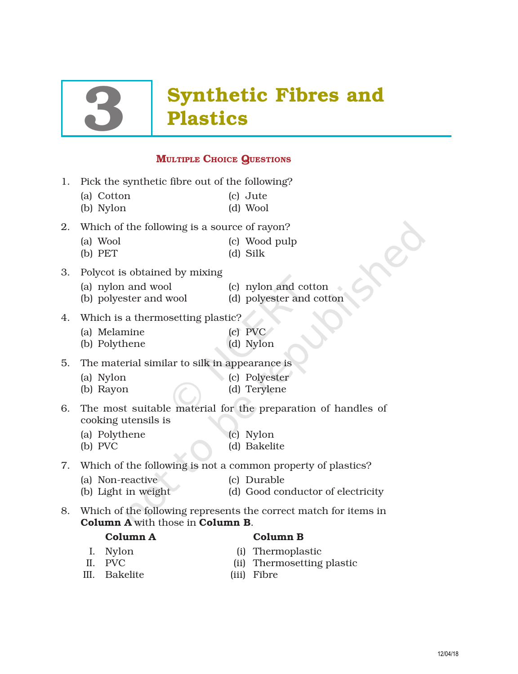# **Synthetic Fibres and<br>Plastics**

# **MULTIPLE CHOICE QUESTIONS**

- 1. Pick the synthetic fibre out of the following?
	- (a) Cotton (c) Jute
	- (b) Nylon (d) Wool

2. Which of the following is a source of rayon?

- (a) Wool (c) Wood pulp
- (b) PET (d) Silk
- 3. Polycot is obtained by mixing
	- (a) nylon and wool (c) nylon and cotton
	- (b) polyester and wool (d) polyester and cotton
- 
- 4. Which is a thermosetting plastic?
	- (a) Melamine (c) PVC
	- (b) Polythene (d) Nylon
- 5. The material similar to silk in appearance is
	- (a) Nylon (c) Polyester
	-
	- (b) Rayon (d) Terylene
- 6. The most suitable material for the preparation of handles of cooking utensils is
	- (a) Polythene (c) Nylon
		-
	- (b) PVC (d) Bakelite
- 7. Which of the following is not a common property of plastics?
	- (a) Non-reactive (c) Durable
	- (b) Light in weight (d) Good conductor of electricity
- 8. Which of the following represents the correct match for items in Column A with those in Column B.
	-

# Column A Column B

- I. Nylon (i) Thermoplastic
- II. PVC (ii) Thermosetting plastic
- III. Bakelite (iii) Fibre
	-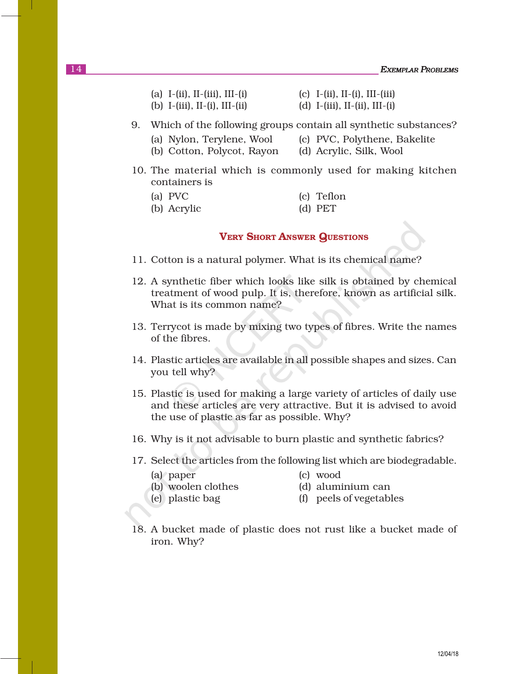- (a) I-(ii), II-(iii), III-(i) (c) I-(ii), II-(i), III-(iii) (b) I-(iii), II-(i), III-(ii) (d) I-(iii), II-(ii), III-(i)
- 9. Which of the following groups contain all synthetic substances?
	- (a) Nylon, Terylene, Wool (c) PVC, Polythene, Bakelite
	- (b) Cotton, Polycot, Rayon (d) Acrylic, Silk, Wool
- 10. The material which is commonly used for making kitchen containers is
	- (a) PVC (c) Teflon (b) Acrylic (d) PET
		-

# VERY SHORT ANSWER QUESTIONS

- 11. Cotton is a natural polymer. What is its chemical name?
- 12. A synthetic fiber which looks like silk is obtained by chemical treatment of wood pulp. It is, therefore, known as artificial silk. What is its common name?
- 13. Terrycot is made by mixing two types of fibres. Write the names of the fibres.
- 14. Plastic articles are available in all possible shapes and sizes. Can you tell why?
- 15. Plastic is used for making a large variety of articles of daily use and these articles are very attractive. But it is advised to avoid the use of plastic as far as possible. Why?
- 16. Why is it not advisable to burn plastic and synthetic fabrics?
- 17. Select the articles from the following list which are biodegradable.
	- (a) paper (c) wood
- - (b) woolen clothes (d) aluminium can
		-
	-
	- (e) plastic bag (f) peels of vegetables
- 18. A bucket made of plastic does not rust like a bucket made of iron. Why?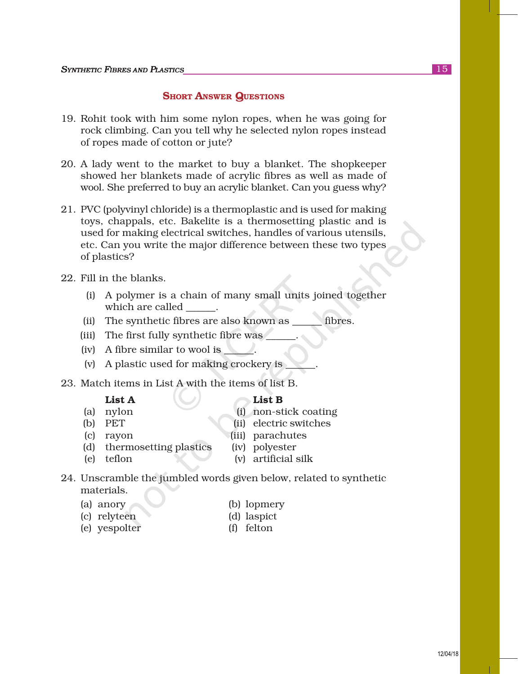# **SHORT ANSWER QUESTIONS**

- 19. Rohit took with him some nylon ropes, when he was going for rock climbing. Can you tell why he selected nylon ropes instead of ropes made of cotton or jute?
- 20. A lady went to the market to buy a blanket. The shopkeeper showed her blankets made of acrylic fibres as well as made of wool. She preferred to buy an acrylic blanket. Can you guess why?
- 21. PVC (polyvinyl chloride) is a thermoplastic and is used for making toys, chappals, etc. Bakelite is a thermosetting plastic and is used for making electrical switches, handles of various utensils, etc. Can you write the major difference between these two types of plastics?
- 22. Fill in the blanks.
	- (i) A polymer is a chain of many small units joined together which are called  $\qquad$ .
	- (ii) The synthetic fibres are also known as \_\_\_\_\_\_ fibres.
	- (iii) The first fully synthetic fibre was \_\_\_\_\_\_.
	- $(iv)$  A fibre similar to wool is  $\qquad \qquad$ .
	- (v) A plastic used for making crockery is \_\_\_\_\_\_.
- 23. Match items in List A with the items of list B.

#### $List A$  List B

- 
- (a) nylon (i) non-stick coating
- (b) PET (ii) electric switches
- (c) rayon (iii) parachutes
- (d) thermosetting plastics (iv) polyester
	-

- 
- (e) teflon (v) artificial silk
- 24. Unscramble the jumbled words given below, related to synthetic materials.
	- (a) anory (b) lopmery
	- (c) relyteen (d) laspict
	- (e) yespolter (f) felton
-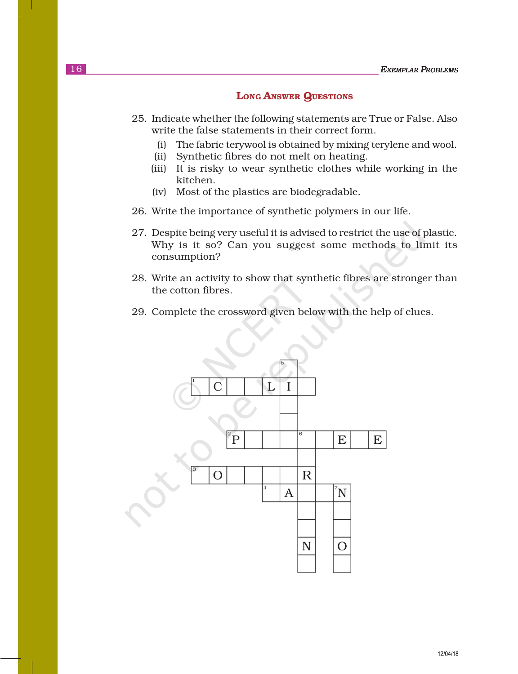### LONG ANSWER QUESTIONS

- 25. Indicate whether the following statements are True or False. Also write the false statements in their correct form.
	- (i) The fabric terywool is obtained by mixing terylene and wool.
	- (ii) Synthetic fibres do not melt on heating.
	- (iii) It is risky to wear synthetic clothes while working in the kitchen.
	- (iv) Most of the plastics are biodegradable.
- 26. Write the importance of synthetic polymers in our life.
- 27. Despite being very useful it is advised to restrict the use of plastic. Why is it so? Can you suggest some methods to limit its consumption?
- 28. Write an activity to show that synthetic fibres are stronger than the cotton fibres.
- 29. Complete the crossword given below with the help of clues.